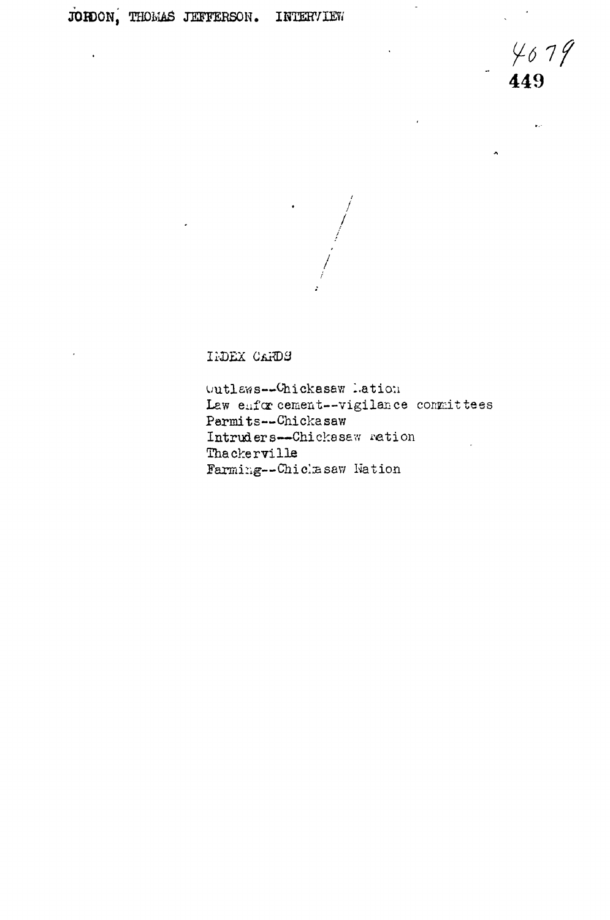$449$ 

L.

**ECEAD XECET** 

Outlaws--Chickasaw Lation Law enforcement--vigilance committees Permits--Chickasaw Intruders--Chickasaw ration Thackerville Farming--Chicksaw Nation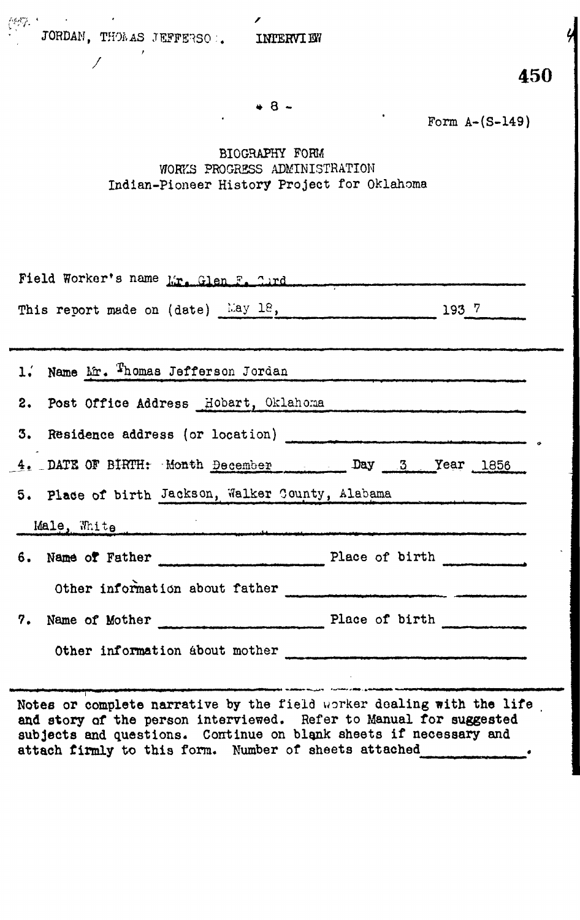

\* 8 -

Form A-(S-149)

BIOGRAPHY FORM WORKS PROGRESS ADMINISTRATION Indian-Pioneer History Project for Oklahoma

| Field Worker's name Mr. Glen F. Curd              |  |
|---------------------------------------------------|--|
| This report made on (date) $\frac{Lay}{2}$ . 1937 |  |
|                                                   |  |
| 1. Name Mr. Thomas Jefferson Jordan               |  |
| 2. Post Office Address Hobart, Oklahoma           |  |
|                                                   |  |
| 4. DATE OF BIRTH: Month December Day 3 Year 1856  |  |
| 5. Place of birth Jackson, Walker County, Alabama |  |
| Male, White                                       |  |
| 6. Name of Father Place of birth ________         |  |
| Other information about father                    |  |
|                                                   |  |
|                                                   |  |
| Other information about mother                    |  |

**Notes or complete narrative by** the field worker dealing **with the life and story of the** person interviewed. Refer to Manual **for suggested subjects and questions.** Continue on blank sheets **if necessary and attach firmly** to **this** form. Number of sheets attached ,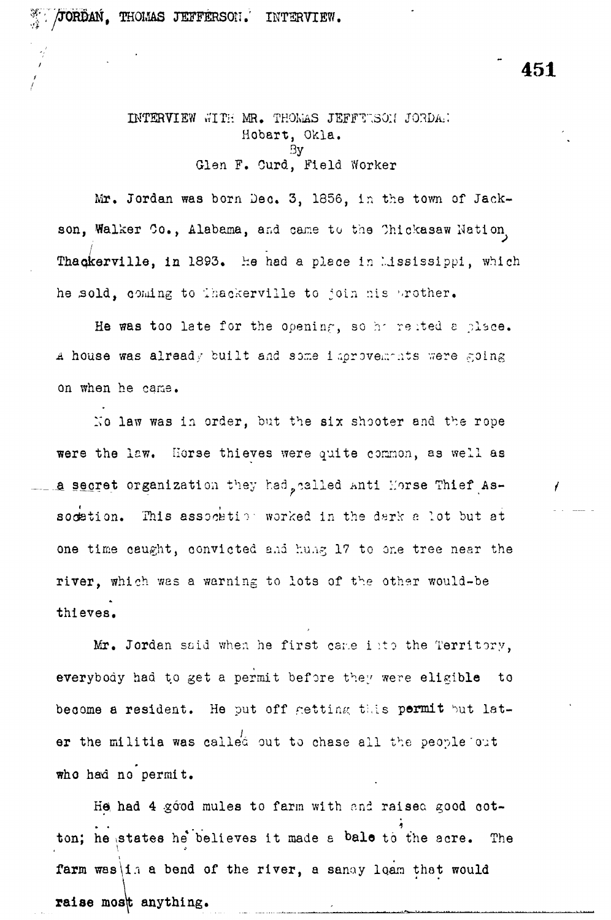$\frac{36}{24}$  / JORDAN, THOMAS JEFFERSON. INTERVIEW.

INTERVIEW WITH MR. THOMAS JEFFTWSON JORDAN Hobart, Okla. By Glen F. Curd, Field Worker

Mr. Jordan was born Dec. 3, 1856, in the town of Jackson, Walker Co., Alabama, and came to the Chickasaw Nation. Thackerville, in 1893. He had a place in Mississippi, which he sold, coming to thackerville to join nis prother.

He was too late for the opening, so he rested a place. A house was already built and same improvements were going on when he cane.

No law was in order, but the six shooter and the rope were the law. Horse thieves were quite common, as well as a secret organization they had, called Anti Morse Thief Assodation. This assocktion worked in the dark a lot but at one time caught, convicted and hung 17 to one tree near the **river,** which was a warning to lots of the other would-be thieves.

Mr. Jordan said when he first came into the Territory, everybody had to get a permit before they were eligible to become a resident. He put off getting this permit but later the militia was called out to chase all the people out **who** had no permit.

He had 4 good mules to farm with and raised good cot-1 ton; he states he\* believes it made a **bale** to the acre. The farm was i. a bend of the river, a sanay loam that would raise most anything.